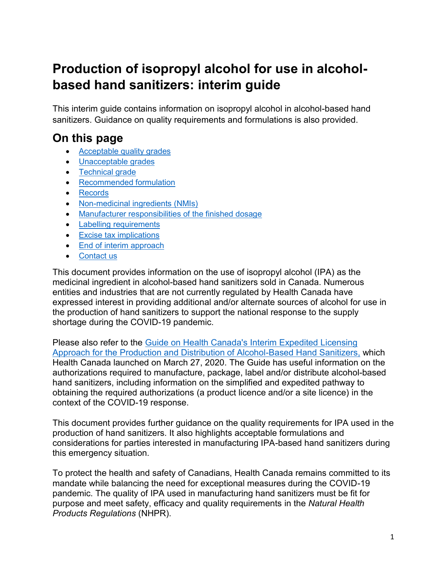# **Production of isopropyl alcohol for use in alcoholbased hand sanitizers: interim guide**

This interim guide contains information on isopropyl alcohol in alcohol-based hand sanitizers. Guidance on quality requirements and formulations is also provided.

### **On this page**

- [Acceptable quality grades](#page-1-0)
- [Unacceptable grades](#page-1-1)
- [Technical grade](#page-1-2)
- [Recommended formulation](#page-3-0)
- [Records](#page-4-0)
- [Non-medicinal ingredients \(NMIs\)](#page-4-1)
- [Manufacturer responsibilities of the finished dosage](#page-5-0)
- [Labelling requirements](#page-5-1)
- **[Excise tax implications](#page-5-2)**
- [End of interim approach](#page-6-0)
- [Contact us](#page-6-1)

This document provides information on the use of isopropyl alcohol (IPA) as the medicinal ingredient in alcohol-based hand sanitizers sold in Canada. Numerous entities and industries that are not currently regulated by Health Canada have expressed interest in providing additional and/or alternate sources of alcohol for use in the production of hand sanitizers to support the national response to the supply shortage during the COVID-19 pandemic.

Please also refer to the [Guide on Health Canada's Interim Expedited Licensing](https://www.canada.ca/en/health-canada/services/drugs-health-products/drug-products/applications-submissions/guidance-documents/covid-19-expediated-licensing-alcohol-hand-sanitizer.html)  [Approach for the Production and Distribution of Alcohol-Based Hand Sanitizers,](https://www.canada.ca/en/health-canada/services/drugs-health-products/drug-products/applications-submissions/guidance-documents/covid-19-expediated-licensing-alcohol-hand-sanitizer.html) which Health Canada launched on March 27, 2020. The Guide has useful information on the authorizations required to manufacture, package, label and/or distribute alcohol-based hand sanitizers, including information on the simplified and expedited pathway to obtaining the required authorizations (a product licence and/or a site licence) in the context of the COVID-19 response.

This document provides further guidance on the quality requirements for IPA used in the production of hand sanitizers. It also highlights acceptable formulations and considerations for parties interested in manufacturing IPA-based hand sanitizers during this emergency situation.

To protect the health and safety of Canadians, Health Canada remains committed to its mandate while balancing the need for exceptional measures during the COVID-19 pandemic. The quality of IPA used in manufacturing hand sanitizers must be fit for purpose and meet safety, efficacy and quality requirements in the *Natural Health Products Regulations* (NHPR).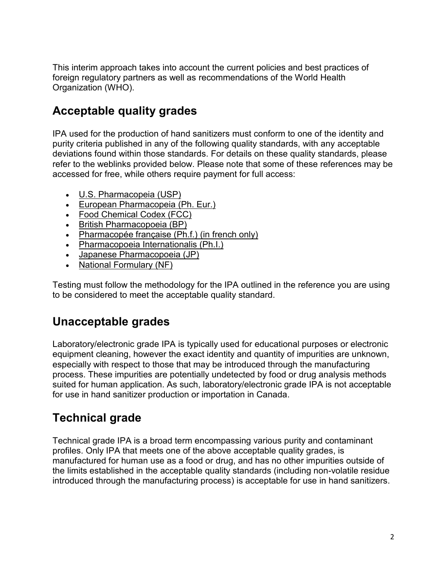This interim approach takes into account the current policies and best practices of foreign regulatory partners as well as recommendations of the World Health Organization (WHO).

#### <span id="page-1-0"></span>**Acceptable quality grades**

IPA used for the production of hand sanitizers must conform to one of the identity and purity criteria published in any of the following quality standards, with any acceptable deviations found within those standards. For details on these quality standards, please refer to the weblinks provided below. Please note that some of these references may be accessed for free, while others require payment for full access:

- [U.S. Pharmacopeia \(USP\)](https://www.usp.org/)
- [European Pharmacopeia \(Ph. Eur.\)](https://www.edqm.eu/)
- [Food Chemical Codex \(FCC\)](https://www.foodchemicalscodex.org/)
- [British Pharmacopoeia \(BP\)](https://www.pharmacopoeia.com/)
- [Pharmacopée française \(Ph.f.\)](http://www.ansm.sante.fr/) (in french only)
- [Pharmacopoeia Internationalis \(Ph.I.\)](https://apps.who.int/phint/en/p/docf/)
- [Japanese Pharmacopoeia \(JP\)](https://www.mhlw.go.jp/english/)
- [National Formulary \(NF\)](https://www.uspnf.com/)

Testing must follow the methodology for the IPA outlined in the reference you are using to be considered to meet the acceptable quality standard.

#### <span id="page-1-1"></span>**Unacceptable grades**

Laboratory/electronic grade IPA is typically used for educational purposes or electronic equipment cleaning, however the exact identity and quantity of impurities are unknown, especially with respect to those that may be introduced through the manufacturing process. These impurities are potentially undetected by food or drug analysis methods suited for human application. As such, laboratory/electronic grade IPA is not acceptable for use in hand sanitizer production or importation in Canada.

#### <span id="page-1-2"></span>**Technical grade**

Technical grade IPA is a broad term encompassing various purity and contaminant profiles. Only IPA that meets one of the above acceptable quality grades, is manufactured for human use as a food or drug, and has no other impurities outside of the limits established in the acceptable quality standards (including non-volatile residue introduced through the manufacturing process) is acceptable for use in hand sanitizers.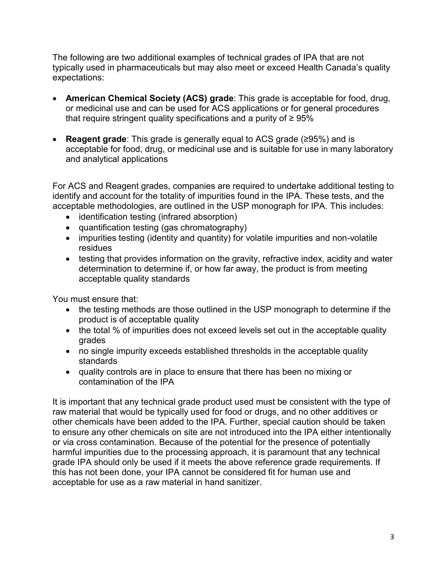The following are two additional examples of technical grades of IPA that are not typically used in pharmaceuticals but may also meet or exceed Health Canada's quality expectations:

- **American Chemical Society (ACS) grade**: This grade is acceptable for food, drug, or medicinal use and can be used for ACS applications or for general procedures that require stringent quality specifications and a purity of  $\geq 95\%$
- **Reagent grade**: This grade is generally equal to ACS grade (≥95%) and is acceptable for food, drug, or medicinal use and is suitable for use in many laboratory and analytical applications

For ACS and Reagent grades, companies are required to undertake additional testing to identify and account for the totality of impurities found in the IPA. These tests, and the acceptable methodologies, are outlined in the USP monograph for IPA. This includes:

- identification testing (infrared absorption)
- quantification testing (gas chromatography)
- impurities testing (identity and quantity) for volatile impurities and non-volatile residues
- testing that provides information on the gravity, refractive index, acidity and water determination to determine if, or how far away, the product is from meeting acceptable quality standards

You must ensure that:

- the testing methods are those outlined in the USP monograph to determine if the product is of acceptable quality
- the total % of impurities does not exceed levels set out in the acceptable quality grades
- no single impurity exceeds established thresholds in the acceptable quality standards
- quality controls are in place to ensure that there has been no mixing or contamination of the IPA

It is important that any technical grade product used must be consistent with the type of raw material that would be typically used for food or drugs, and no other additives or other chemicals have been added to the IPA. Further, special caution should be taken to ensure any other chemicals on site are not introduced into the IPA either intentionally or via cross contamination. Because of the potential for the presence of potentially harmful impurities due to the processing approach, it is paramount that any technical grade IPA should only be used if it meets the above reference grade requirements. If this has not been done, your IPA cannot be considered fit for human use and acceptable for use as a raw material in hand sanitizer.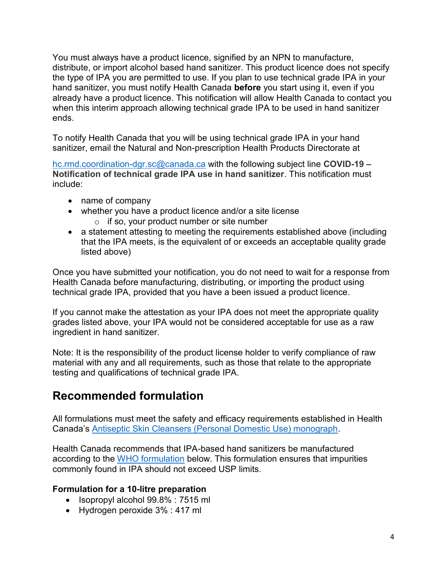You must always have a product licence, signified by an NPN to manufacture, distribute, or import alcohol based hand sanitizer. This product licence does not specify the type of IPA you are permitted to use. If you plan to use technical grade IPA in your hand sanitizer, you must notify Health Canada **before** you start using it, even if you already have a product licence. This notification will allow Health Canada to contact you when this interim approach allowing technical grade IPA to be used in hand sanitizer ends.

To notify Health Canada that you will be using technical grade IPA in your hand sanitizer, email the Natural and Non-prescription Health Products Directorate at

[hc.rmd.coordination-dgr.sc@canada.ca](mailto:hc.rmd.coordination-dgr.sc@canada.ca) with the following subject line **COVID-19 – Notification of technical grade IPA use in hand sanitizer**. This notification must include:

- name of company
- whether you have a product licence and/or a site license
	- o if so, your product number or site number
- a statement attesting to meeting the requirements established above (including that the IPA meets, is the equivalent of or exceeds an acceptable quality grade listed above)

Once you have submitted your notification, you do not need to wait for a response from Health Canada before manufacturing, distributing, or importing the product using technical grade IPA, provided that you have a been issued a product licence.

If you cannot make the attestation as your IPA does not meet the appropriate quality grades listed above, your IPA would not be considered acceptable for use as a raw ingredient in hand sanitizer.

Note: It is the responsibility of the product license holder to verify compliance of raw material with any and all requirements, such as those that relate to the appropriate testing and qualifications of technical grade IPA.

#### <span id="page-3-0"></span>**Recommended formulation**

All formulations must meet the safety and efficacy requirements established in Health Canada's [Antiseptic Skin Cleansers \(Personal Domestic Use\) monograph.](http://webprod.hc-sc.gc.ca/nhpid-bdipsn/atReq.do?atid=antiseptic_antiseptique&lang=eng)

Health Canada recommends that IPA-based hand sanitizers be manufactured according to the [WHO formulation](https://www.who.int/gpsc/5may/Guide_to_Local_Production.pdf) below. This formulation ensures that impurities commonly found in IPA should not exceed USP limits.

#### **Formulation for a 10-litre preparation**

- $\bullet$  Isopropyl alcohol  $99.8\%$  : 7515 ml
- Hydrogen peroxide 3% : 417 ml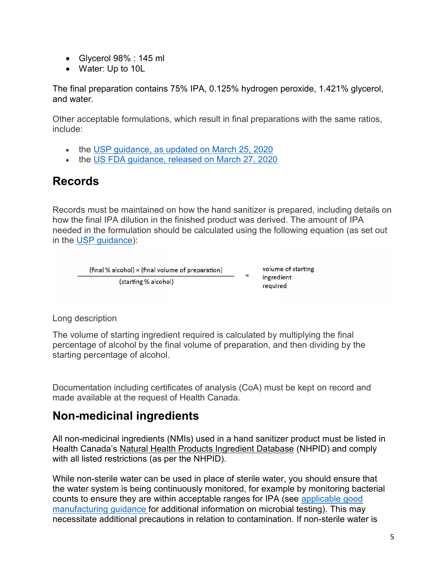- Glycerol 98% : 145 ml
- Water: Up to 10L

The final preparation contains 75% IPA, 0.125% hydrogen peroxide, 1.421% glycerol, and water.

Other acceptable formulations, which result in final preparations with the same ratios, include:

- the [USP guidance, as updated on March 25, 2020](https://www.usp.org/sites/default/files/usp/document/about/public-policy/usp-covid19-handrub.pdf)
- the [US FDA guidance, released on March 27, 2020](https://www.fda.gov/media/136289/download)

#### <span id="page-4-0"></span>**Records**

Records must be maintained on how the hand sanitizer is prepared, including details on how the final IPA dilution in the finished product was derived. The amount of IPA needed in the formulation should be calculated using the following equation (as set out in the [USP guidance\)](https://www.usp.org/sites/default/files/usp/document/about/public-policy/usp-covid19-handrub.pdf):

(final % alcohol) × (final volume of preparation)  $=$ (starting % alcohol)

volume of starting ingredient required

Long description

The volume of starting ingredient required is calculated by multiplying the final percentage of alcohol by the final volume of preparation, and then dividing by the starting percentage of alcohol.

Documentation including certificates of analysis (CoA) must be kept on record and made available at the request of Health Canada.

#### <span id="page-4-1"></span>**Non-medicinal ingredients**

All non-medicinal ingredients (NMIs) used in a hand sanitizer product must be listed in Health Canada's [Natural Health Products Ingredient Database](http://webprod.hc-sc.gc.ca/nhpid-bdipsn/search-rechercheReq.do) (NHPID) and comply with all listed restrictions (as per the NHPID).

While non-sterile water can be used in place of sterile water, you should ensure that the water system is being continuously monitored, for example by monitoring bacterial counts to ensure they are within acceptable ranges for IPA (see [applicable](https://www.canada.ca/en/health-canada/services/drugs-health-products/public-involvement-consultations/natural-health-products/consultation-good-manufacturing-practices1.html#a231) good [manufacturing](https://www.canada.ca/en/health-canada/services/drugs-health-products/public-involvement-consultations/natural-health-products/consultation-good-manufacturing-practices1.html#a231) guidance for additional information on microbial testing). This may necessitate additional precautions in relation to contamination. If non-sterile water is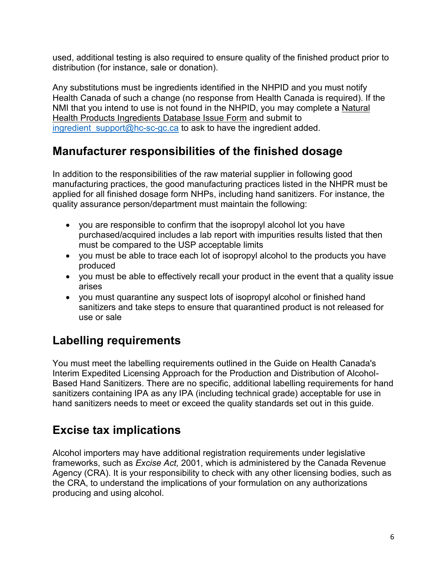used, additional testing is also required to ensure quality of the finished product prior to distribution (for instance, sale or donation).

Any substitutions must be ingredients identified in the NHPID and you must notify Health Canada of such a change (no response from Health Canada is required). If the NMI that you intend to use is not found in the NHPID, you may complete a [Natural](https://www.canada.ca/en/health-canada/services/drugs-health-products/natural-non-prescription/applications-submissions/online-solution/ingredients-database-issue-form.html)  [Health Products Ingredients Database Issue Form](https://www.canada.ca/en/health-canada/services/drugs-health-products/natural-non-prescription/applications-submissions/online-solution/ingredients-database-issue-form.html) and submit to ingredient support@hc-sc-gc.ca to ask to have the ingredient added.

#### <span id="page-5-0"></span>**Manufacturer responsibilities of the finished dosage**

In addition to the responsibilities of the raw material supplier in following good manufacturing practices, the good manufacturing practices listed in the NHPR must be applied for all finished dosage form NHPs, including hand sanitizers. For instance, the quality assurance person/department must maintain the following:

- you are responsible to confirm that the isopropyl alcohol lot you have purchased/acquired includes a lab report with impurities results listed that then must be compared to the USP acceptable limits
- you must be able to trace each lot of isopropyl alcohol to the products you have produced
- you must be able to effectively recall your product in the event that a quality issue arises
- you must quarantine any suspect lots of isopropyl alcohol or finished hand sanitizers and take steps to ensure that quarantined product is not released for use or sale

# <span id="page-5-1"></span>**Labelling requirements**

You must meet the labelling requirements outlined in the Guide on Health Canada's Interim Expedited Licensing Approach for the Production and Distribution of Alcohol-Based Hand Sanitizers. There are no specific, additional labelling requirements for hand sanitizers containing IPA as any IPA (including technical grade) acceptable for use in hand sanitizers needs to meet or exceed the quality standards set out in this guide.

## <span id="page-5-2"></span>**Excise tax implications**

Alcohol importers may have additional registration requirements under legislative frameworks, such as *Excise Act,* 2001, which is administered by the Canada Revenue Agency (CRA). It is your responsibility to check with any other licensing bodies, such as the CRA, to understand the implications of your formulation on any authorizations producing and using alcohol.